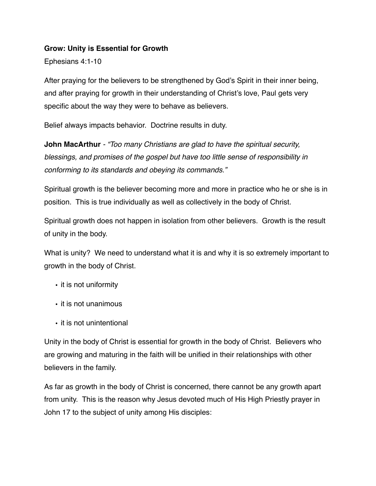#### **Grow: Unity is Essential for Growth**

Ephesians 4:1-10

After praying for the believers to be strengthened by God's Spirit in their inner being, and after praying for growth in their understanding of Christ's love, Paul gets very specific about the way they were to behave as believers.

Belief always impacts behavior. Doctrine results in duty.

**John MacArthur** *- "Too many Christians are glad to have the spiritual security, blessings, and promises of the gospel but have too little sense of responsibility in conforming to its standards and obeying its commands."*

Spiritual growth is the believer becoming more and more in practice who he or she is in position. This is true individually as well as collectively in the body of Christ.

Spiritual growth does not happen in isolation from other believers. Growth is the result of unity in the body.

What is unity? We need to understand what it is and why it is so extremely important to growth in the body of Christ.

- it is not uniformity
- it is not unanimous
- it is not unintentional

Unity in the body of Christ is essential for growth in the body of Christ. Believers who are growing and maturing in the faith will be unified in their relationships with other believers in the family.

As far as growth in the body of Christ is concerned, there cannot be any growth apart from unity. This is the reason why Jesus devoted much of His High Priestly prayer in John 17 to the subject of unity among His disciples: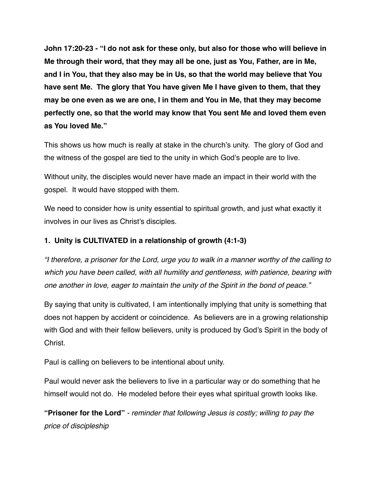**John 17:20-23 - "I do not ask for these only, but also for those who will believe in Me through their word, that they may all be one, just as You, Father, are in Me, and I in You, that they also may be in Us, so that the world may believe that You have sent Me. The glory that You have given Me I have given to them, that they may be one even as we are one, I in them and You in Me, that they may become perfectly one, so that the world may know that You sent Me and loved them even as You loved Me."**

This shows us how much is really at stake in the church's unity. The glory of God and the witness of the gospel are tied to the unity in which God's people are to live.

Without unity, the disciples would never have made an impact in their world with the gospel. It would have stopped with them.

We need to consider how is unity essential to spiritual growth, and just what exactly it involves in our lives as Christ's disciples.

#### **1. Unity is CULTIVATED in a relationship of growth (4:1-3)**

*"I therefore, a prisoner for the Lord, urge you to walk in a manner worthy of the calling to which you have been called, with all humility and gentleness, with patience, bearing with one another in love, eager to maintain the unity of the Spirit in the bond of peace."*

By saying that unity is cultivated, I am intentionally implying that unity is something that does not happen by accident or coincidence. As believers are in a growing relationship with God and with their fellow believers, unity is produced by God's Spirit in the body of Christ.

Paul is calling on believers to be intentional about unity.

Paul would never ask the believers to live in a particular way or do something that he himself would not do. He modeled before their eyes what spiritual growth looks like.

**"Prisoner for the Lord"** *- reminder that following Jesus is costly; willing to pay the price of discipleship*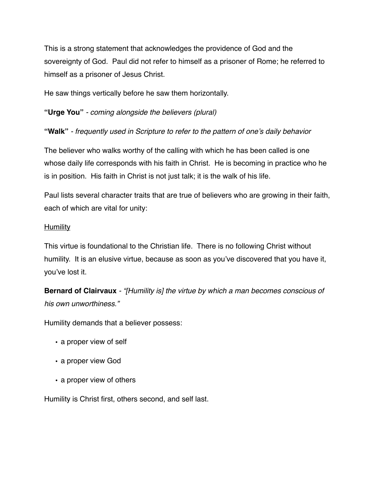This is a strong statement that acknowledges the providence of God and the sovereignty of God. Paul did not refer to himself as a prisoner of Rome; he referred to himself as a prisoner of Jesus Christ.

He saw things vertically before he saw them horizontally.

**"Urge You"** *- coming alongside the believers (plural)*

**"Walk"** *- frequently used in Scripture to refer to the pattern of one's daily behavior*

The believer who walks worthy of the calling with which he has been called is one whose daily life corresponds with his faith in Christ. He is becoming in practice who he is in position. His faith in Christ is not just talk; it is the walk of his life.

Paul lists several character traits that are true of believers who are growing in their faith, each of which are vital for unity:

#### **Humility**

This virtue is foundational to the Christian life. There is no following Christ without humility. It is an elusive virtue, because as soon as you've discovered that you have it, you've lost it.

**Bernard of Clairvaux** *- "[Humility is] the virtue by which a man becomes conscious of his own unworthiness."*

Humility demands that a believer possess:

- **•** a proper view of self
- **•** a proper view God
- **•** a proper view of others

Humility is Christ first, others second, and self last.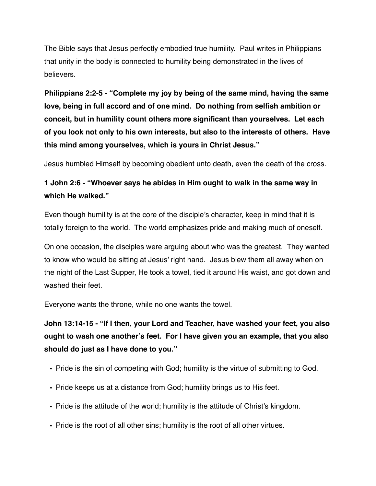The Bible says that Jesus perfectly embodied true humility. Paul writes in Philippians that unity in the body is connected to humility being demonstrated in the lives of believers.

**Philippians 2:2-5 - "Complete my joy by being of the same mind, having the same love, being in full accord and of one mind. Do nothing from selfish ambition or conceit, but in humility count others more significant than yourselves. Let each of you look not only to his own interests, but also to the interests of others. Have this mind among yourselves, which is yours in Christ Jesus."**

Jesus humbled Himself by becoming obedient unto death, even the death of the cross.

### **1 John 2:6 - "Whoever says he abides in Him ought to walk in the same way in which He walked."**

Even though humility is at the core of the disciple's character, keep in mind that it is totally foreign to the world. The world emphasizes pride and making much of oneself.

On one occasion, the disciples were arguing about who was the greatest. They wanted to know who would be sitting at Jesus' right hand. Jesus blew them all away when on the night of the Last Supper, He took a towel, tied it around His waist, and got down and washed their feet.

Everyone wants the throne, while no one wants the towel.

**John 13:14-15 - "If I then, your Lord and Teacher, have washed your feet, you also ought to wash one another's feet. For I have given you an example, that you also should do just as I have done to you."**

- Pride is the sin of competing with God; humility is the virtue of submitting to God.
- Pride keeps us at a distance from God; humility brings us to His feet.
- Pride is the attitude of the world; humility is the attitude of Christ's kingdom.
- Pride is the root of all other sins; humility is the root of all other virtues.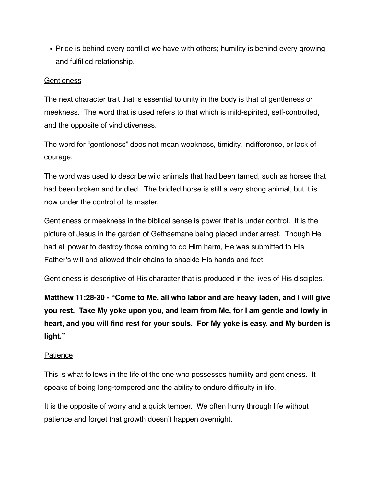• Pride is behind every conflict we have with others; humility is behind every growing and fulfilled relationship.

#### **Gentleness**

The next character trait that is essential to unity in the body is that of gentleness or meekness. The word that is used refers to that which is mild-spirited, self-controlled, and the opposite of vindictiveness.

The word for "gentleness" does not mean weakness, timidity, indifference, or lack of courage.

The word was used to describe wild animals that had been tamed, such as horses that had been broken and bridled. The bridled horse is still a very strong animal, but it is now under the control of its master.

Gentleness or meekness in the biblical sense is power that is under control. It is the picture of Jesus in the garden of Gethsemane being placed under arrest. Though He had all power to destroy those coming to do Him harm, He was submitted to His Father's will and allowed their chains to shackle His hands and feet.

Gentleness is descriptive of His character that is produced in the lives of His disciples.

**Matthew 11:28-30 - "Come to Me, all who labor and are heavy laden, and I will give you rest. Take My yoke upon you, and learn from Me, for I am gentle and lowly in heart, and you will find rest for your souls. For My yoke is easy, and My burden is light."**

#### Patience

This is what follows in the life of the one who possesses humility and gentleness. It speaks of being long-tempered and the ability to endure difficulty in life.

It is the opposite of worry and a quick temper. We often hurry through life without patience and forget that growth doesn't happen overnight.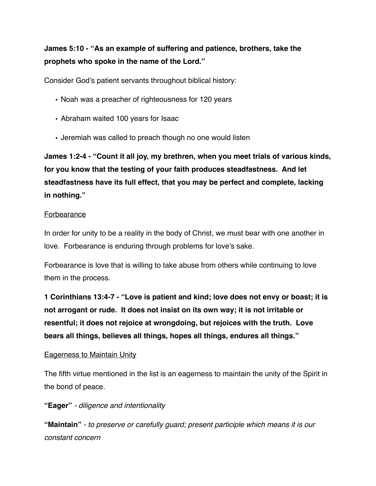### **James 5:10 - "As an example of suffering and patience, brothers, take the prophets who spoke in the name of the Lord."**

Consider God's patient servants throughout biblical history:

- Noah was a preacher of righteousness for 120 years
- Abraham waited 100 years for Isaac
- Jeremiah was called to preach though no one would listen

**James 1:2-4 - "Count it all joy, my brethren, when you meet trials of various kinds, for you know that the testing of your faith produces steadfastness. And let steadfastness have its full effect, that you may be perfect and complete, lacking in nothing."**

#### Forbearance

In order for unity to be a reality in the body of Christ, we must bear with one another in love. Forbearance is enduring through problems for love's sake.

Forbearance is love that is willing to take abuse from others while continuing to love them in the process.

**1 Corinthians 13:4-7 - "Love is patient and kind; love does not envy or boast; it is not arrogant or rude. It does not insist on its own way; it is not irritable or resentful; it does not rejoice at wrongdoing, but rejoices with the truth. Love bears all things, believes all things, hopes all things, endures all things."**

#### Eagerness to Maintain Unity

The fifth virtue mentioned in the list is an eagerness to maintain the unity of the Spirit in the bond of peace.

**"Eager"** *- diligence and intentionality* 

**"Maintain"** *- to preserve or carefully guard; present participle which means it is our constant concern*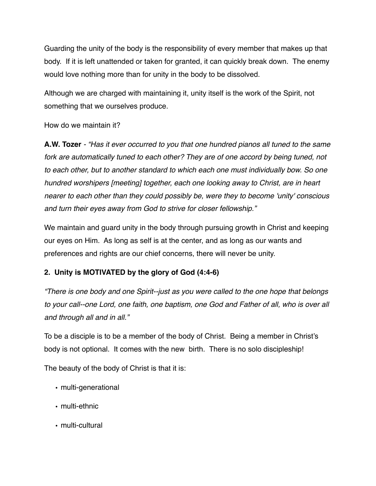Guarding the unity of the body is the responsibility of every member that makes up that body. If it is left unattended or taken for granted, it can quickly break down. The enemy would love nothing more than for unity in the body to be dissolved.

Although we are charged with maintaining it, unity itself is the work of the Spirit, not something that we ourselves produce.

How do we maintain it?

**A.W. Tozer** *- "Has it ever occurred to you that one hundred pianos all tuned to the same fork are automatically tuned to each other? They are of one accord by being tuned, not to each other, but to another standard to which each one must individually bow. So one hundred worshipers [meeting] together, each one looking away to Christ, are in heart nearer to each other than they could possibly be, were they to become 'unity' conscious and turn their eyes away from God to strive for closer fellowship."* 

We maintain and guard unity in the body through pursuing growth in Christ and keeping our eyes on Him. As long as self is at the center, and as long as our wants and preferences and rights are our chief concerns, there will never be unity.

### **2. Unity is MOTIVATED by the glory of God (4:4-6)**

*"There is one body and one Spirit--just as you were called to the one hope that belongs to your call--one Lord, one faith, one baptism, one God and Father of all, who is over all and through all and in all."*

To be a disciple is to be a member of the body of Christ. Being a member in Christ's body is not optional. It comes with the new birth. There is no solo discipleship!

The beauty of the body of Christ is that it is:

- multi-generational
- multi-ethnic
- multi-cultural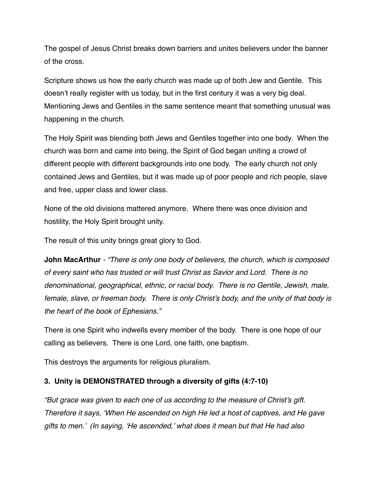The gospel of Jesus Christ breaks down barriers and unites believers under the banner of the cross.

Scripture shows us how the early church was made up of both Jew and Gentile. This doesn't really register with us today, but in the first century it was a very big deal. Mentioning Jews and Gentiles in the same sentence meant that something unusual was happening in the church.

The Holy Spirit was blending both Jews and Gentiles together into one body. When the church was born and came into being, the Spirit of God began uniting a crowd of different people with different backgrounds into one body. The early church not only contained Jews and Gentiles, but it was made up of poor people and rich people, slave and free, upper class and lower class.

None of the old divisions mattered anymore. Where there was once division and hostility, the Holy Spirit brought unity.

The result of this unity brings great glory to God.

**John MacArthur** *- "There is only one body of believers, the church, which is composed of every saint who has trusted or will trust Christ as Savior and Lord. There is no denominational, geographical, ethnic, or racial body. There is no Gentile, Jewish, male, female, slave, or freeman body. There is only Christ's body, and the unity of that body is the heart of the book of Ephesians."* 

There is one Spirit who indwells every member of the body. There is one hope of our calling as believers. There is one Lord, one faith, one baptism.

This destroys the arguments for religious pluralism.

#### **3. Unity is DEMONSTRATED through a diversity of gifts (4:7-10)**

*"But grace was given to each one of us according to the measure of Christ's gift. Therefore it says, 'When He ascended on high He led a host of captives, and He gave gifts to men.' (In saying, 'He ascended,' what does it mean but that He had also*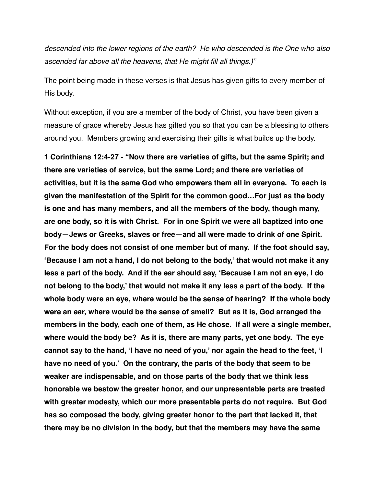*descended into the lower regions of the earth? He who descended is the One who also ascended far above all the heavens, that He might fill all things.)"* 

The point being made in these verses is that Jesus has given gifts to every member of His body.

Without exception, if you are a member of the body of Christ, you have been given a measure of grace whereby Jesus has gifted you so that you can be a blessing to others around you. Members growing and exercising their gifts is what builds up the body.

**1 Corinthians 12:4-27 - "Now there are varieties of gifts, but the same Spirit; and there are varieties of service, but the same Lord; and there are varieties of activities, but it is the same God who empowers them all in everyone. To each is given the manifestation of the Spirit for the common good…For just as the body is one and has many members, and all the members of the body, though many, are one body, so it is with Christ. For in one Spirit we were all baptized into one body—Jews or Greeks, slaves or free—and all were made to drink of one Spirit. For the body does not consist of one member but of many. If the foot should say, 'Because I am not a hand, I do not belong to the body,' that would not make it any less a part of the body. And if the ear should say, 'Because I am not an eye, I do not belong to the body,' that would not make it any less a part of the body. If the whole body were an eye, where would be the sense of hearing? If the whole body were an ear, where would be the sense of smell? But as it is, God arranged the members in the body, each one of them, as He chose. If all were a single member, where would the body be? As it is, there are many parts, yet one body. The eye cannot say to the hand, 'I have no need of you,' nor again the head to the feet, 'I have no need of you.' On the contrary, the parts of the body that seem to be weaker are indispensable, and on those parts of the body that we think less honorable we bestow the greater honor, and our unpresentable parts are treated with greater modesty, which our more presentable parts do not require. But God has so composed the body, giving greater honor to the part that lacked it, that there may be no division in the body, but that the members may have the same**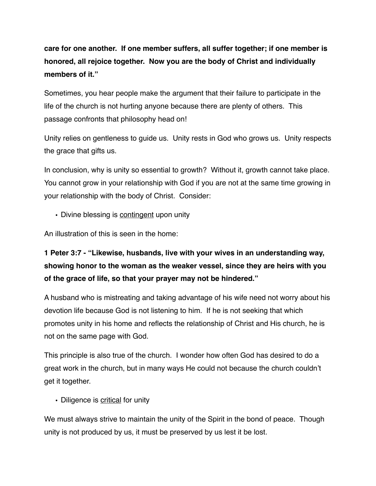# **care for one another. If one member suffers, all suffer together; if one member is honored, all rejoice together. Now you are the body of Christ and individually members of it."**

Sometimes, you hear people make the argument that their failure to participate in the life of the church is not hurting anyone because there are plenty of others. This passage confronts that philosophy head on!

Unity relies on gentleness to guide us. Unity rests in God who grows us. Unity respects the grace that gifts us.

In conclusion, why is unity so essential to growth? Without it, growth cannot take place. You cannot grow in your relationship with God if you are not at the same time growing in your relationship with the body of Christ. Consider:

• Divine blessing is contingent upon unity

An illustration of this is seen in the home:

# **1 Peter 3:7 - "Likewise, husbands, live with your wives in an understanding way, showing honor to the woman as the weaker vessel, since they are heirs with you of the grace of life, so that your prayer may not be hindered."**

A husband who is mistreating and taking advantage of his wife need not worry about his devotion life because God is not listening to him. If he is not seeking that which promotes unity in his home and reflects the relationship of Christ and His church, he is not on the same page with God.

This principle is also true of the church. I wonder how often God has desired to do a great work in the church, but in many ways He could not because the church couldn't get it together.

• Diligence is critical for unity

We must always strive to maintain the unity of the Spirit in the bond of peace. Though unity is not produced by us, it must be preserved by us lest it be lost.